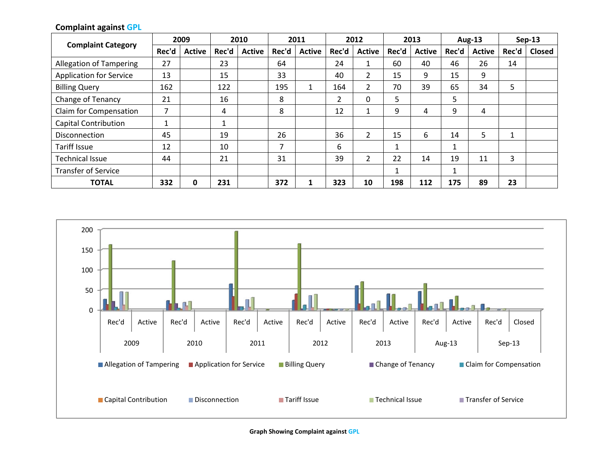|                                |       | 2009          |       | 2010          |       | 2011          |                | 2012           |       | 2013          |       | <b>Aug-13</b> |       | $Sep-13$      |
|--------------------------------|-------|---------------|-------|---------------|-------|---------------|----------------|----------------|-------|---------------|-------|---------------|-------|---------------|
| <b>Complaint Category</b>      | Rec'd | <b>Active</b> | Rec'd | <b>Active</b> | Rec'd | <b>Active</b> | Rec'd          | <b>Active</b>  | Rec'd | <b>Active</b> | Rec'd | <b>Active</b> | Rec'd | <b>Closed</b> |
| <b>Allegation of Tampering</b> | 27    |               | 23    |               | 64    |               | 24             |                | 60    | 40            | 46    | 26            | 14    |               |
| <b>Application for Service</b> | 13    |               | 15    |               | 33    |               | 40             | $\overline{2}$ | 15    | 9             | 15    | 9             |       |               |
| <b>Billing Query</b>           | 162   |               | 122   |               | 195   | 1             | 164            | $\overline{2}$ | 70    | 39            | 65    | 34            | 5     |               |
| <b>Change of Tenancy</b>       | 21    |               | 16    |               | 8     |               | $\overline{2}$ | $\Omega$       | 5     |               | 5     |               |       |               |
| Claim for Compensation         | 7     |               | 4     |               | 8     |               | 12             |                | 9     | 4             | 9     | 4             |       |               |
| <b>Capital Contribution</b>    | 4     |               | 1     |               |       |               |                |                |       |               |       |               |       |               |
| <b>Disconnection</b>           | 45    |               | 19    |               | 26    |               | 36             | $\overline{2}$ | 15    | 6             | 14    | 5.            | 1     |               |
| <b>Tariff Issue</b>            | 12    |               | 10    |               | ⇁     |               | 6              |                |       |               |       |               |       |               |
| <b>Technical Issue</b>         | 44    |               | 21    |               | 31    |               | 39             | $\overline{2}$ | 22    | 14            | 19    | 11            | 3     |               |
| <b>Transfer of Service</b>     |       |               |       |               |       |               |                |                |       |               |       |               |       |               |
| <b>TOTAL</b>                   | 332   | 0             | 231   |               | 372   |               | 323            | 10             | 198   | 112           | 175   | 89            | 23    |               |

**Complaint against GPL**

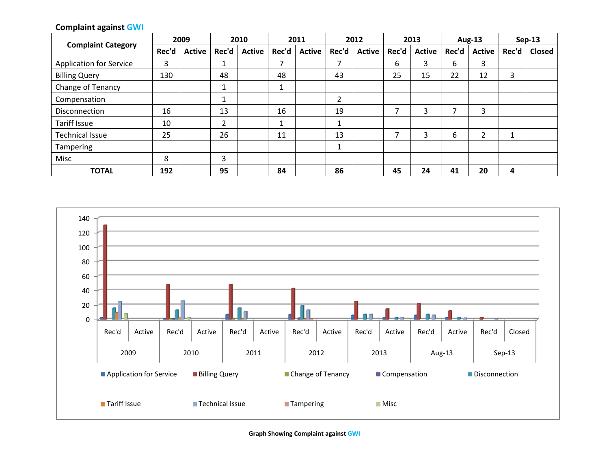## **Complaint against GWI**

| <b>Complaint Category</b>      |       | 2009          | 2010  |               | 2011  |               | 2012  |               | 2013  |               | <b>Aug-13</b> |                | $Sep-13$ |               |
|--------------------------------|-------|---------------|-------|---------------|-------|---------------|-------|---------------|-------|---------------|---------------|----------------|----------|---------------|
|                                | Rec'd | <b>Active</b> | Rec'd | <b>Active</b> | Rec'd | <b>Active</b> | Rec'd | <b>Active</b> | Rec'd | <b>Active</b> | Rec'd         | <b>Active</b>  | Rec'd    | <b>Closed</b> |
| <b>Application for Service</b> | 3     |               |       |               | ⇁     |               | 7     |               | 6     | 3             | 6             | 3              |          |               |
| <b>Billing Query</b>           | 130   |               | 48    |               | 48    |               | 43    |               | 25    | 15            | 22            | 12             | 3        |               |
| Change of Tenancy              |       |               |       |               |       |               |       |               |       |               |               |                |          |               |
| Compensation                   |       |               |       |               |       |               | 2     |               |       |               |               |                |          |               |
| Disconnection                  | 16    |               | 13    |               | 16    |               | 19    |               | ⇁     | 3             | ⇁             | 3              |          |               |
| Tariff Issue                   | 10    |               | 2     |               |       |               |       |               |       |               |               |                |          |               |
| <b>Technical Issue</b>         | 25    |               | 26    |               | 11    |               | 13    |               |       | 3             | 6             | $\overline{2}$ | ◢        |               |
| <b>Tampering</b>               |       |               |       |               |       |               | 1     |               |       |               |               |                |          |               |
| Misc                           | 8     |               | 3     |               |       |               |       |               |       |               |               |                |          |               |
| <b>TOTAL</b>                   | 192   |               | 95    |               | 84    |               | 86    |               | 45    | 24            | 41            | 20             | 4        |               |



**Graph Showing Complaint against GWI**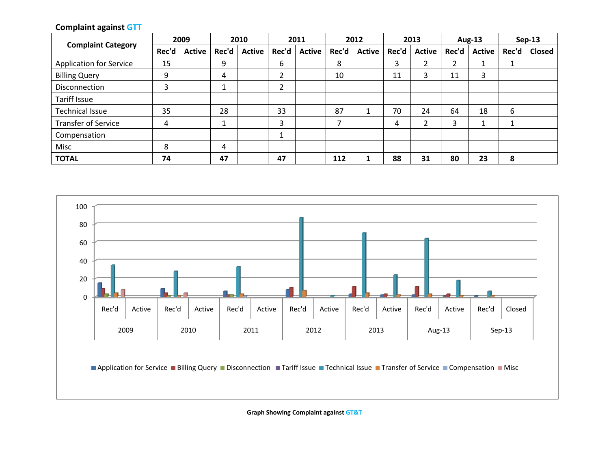## **Complaint against GTT**

| <b>Complaint Category</b>      |       | 2009          | 2010  |               | 2011    |               | 2012  |               | 2013  |               | <b>Aug-13</b> |               |       | $Sep-13$ |
|--------------------------------|-------|---------------|-------|---------------|---------|---------------|-------|---------------|-------|---------------|---------------|---------------|-------|----------|
|                                | Rec'd | <b>Active</b> | Rec'd | <b>Active</b> | Rec'd   | <b>Active</b> | Rec'd | <b>Active</b> | Rec'd | <b>Active</b> | Rec'd         | <b>Active</b> | Rec'd | Closed   |
| <b>Application for Service</b> | 15    |               | 9     |               | 6       |               | 8     |               | 3     |               | ົ<br>∠        |               |       |          |
| <b>Billing Query</b>           | 9     |               | 4     |               | C.      |               | 10    |               | 11    |               | 11            |               |       |          |
| Disconnection                  | 3     |               |       |               | C.<br>۷ |               |       |               |       |               |               |               |       |          |
| Tariff Issue                   |       |               |       |               |         |               |       |               |       |               |               |               |       |          |
| <b>Technical Issue</b>         | 35    |               | 28    |               | 33      |               | 87    |               | 70    | 24            | 64            | 18            | 6     |          |
| <b>Transfer of Service</b>     | 4     |               |       |               | 3       |               | ⇁     |               | 4     |               | 3             |               | ◢     |          |
| Compensation                   |       |               |       |               |         |               |       |               |       |               |               |               |       |          |
| Misc                           | 8     |               | 4     |               |         |               |       |               |       |               |               |               |       |          |
| <b>TOTAL</b>                   | 74    |               | 47    |               | 47      |               | 112   |               | 88    | 31            | 80            | 23            | 8     |          |



**Graph Showing Complaint against GT&T**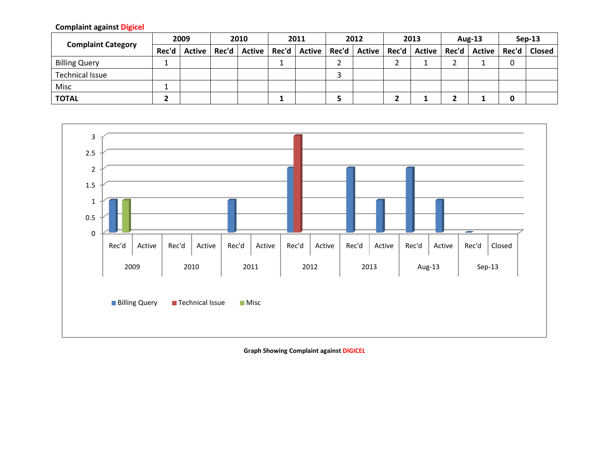**Complaint against Digicel**

| <b>Complaint Category</b> | 2009  |  | 2010 |                         | 2011 |                                                                   | 2012 |  | 2013 |  | <b>Aug-13</b> |  | $Sen-13$ |                |
|---------------------------|-------|--|------|-------------------------|------|-------------------------------------------------------------------|------|--|------|--|---------------|--|----------|----------------|
|                           | Rec'd |  |      | Active   Rec'd   Active |      | Rec'd   Active   Rec'd   Active   Rec'd   Active   Rec'd   Active |      |  |      |  |               |  |          | Rec'd   Closed |
| <b>Billing Query</b>      |       |  |      |                         |      |                                                                   |      |  |      |  |               |  |          |                |
| <b>Technical Issue</b>    |       |  |      |                         |      |                                                                   |      |  |      |  |               |  |          |                |
| Misc                      |       |  |      |                         |      |                                                                   |      |  |      |  |               |  |          |                |
| <b>TOTAL</b>              |       |  |      |                         |      |                                                                   |      |  |      |  |               |  |          |                |



**Graph Showing Complaint against DIGICEL**